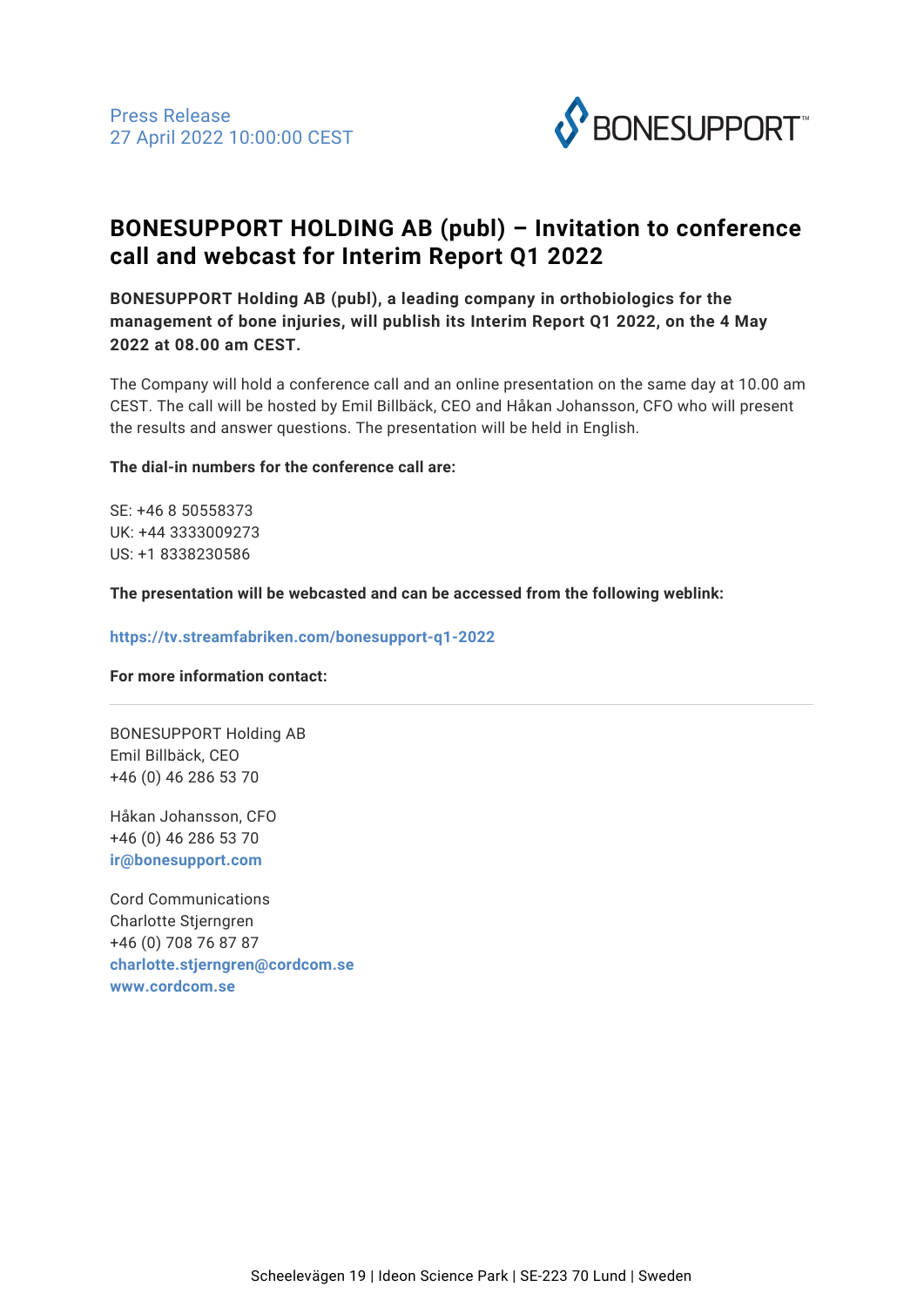

# **BONESUPPORT HOLDING AB (publ) – Invitation to conference call and webcast for Interim Report Q1 2022**

**BONESUPPORT Holding AB (publ), a leading company in orthobiologics for the management of bone injuries, will publish its Interim Report Q1 2022, on the 4 May 2022 at 08.00 am CEST.**

The Company will hold a conference call and an online presentation on the same day at 10.00 am CEST. The call will be hosted by Emil Billbäck, CEO and Håkan Johansson, CFO who will present the results and answer questions. The presentation will be held in English.

## **The dial-in numbers for the conference call are:**

SE: +46 8 50558373 UK: +44 3333009273 US: +1 8338230586

**The presentation will be webcasted and can be accessed from the following weblink:**

## **https://tv.streamfabriken.com/bonesupport-q1-2022**

## **For more information contact:**

BONESUPPORT Holding AB Emil Billbäck, CEO +46 (0) 46 286 53 70

Håkan Johansson, CFO +46 (0) 46 286 53 70 **[ir@bonesupport.com](mailto:ir@bonesupport.com)**

Cord Communications Charlotte Stjerngren +46 (0) 708 76 87 87 **[charlotte.stjerngren@cordcom.se](mailto:charlotte.stjerngren@cordcom.se) [www.cordcom.se](http://www.cordcom.se)**